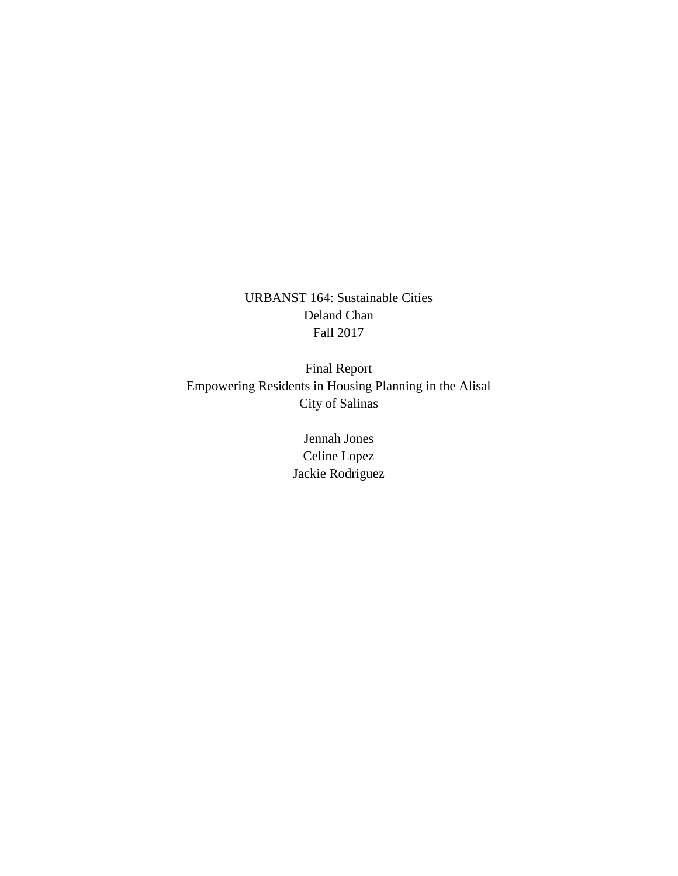URBANST 164: Sustainable Cities Deland Chan Fall 2017

Final Report Empowering Residents in Housing Planning in the Alisal City of Salinas

> Jennah Jones Celine Lopez Jackie Rodriguez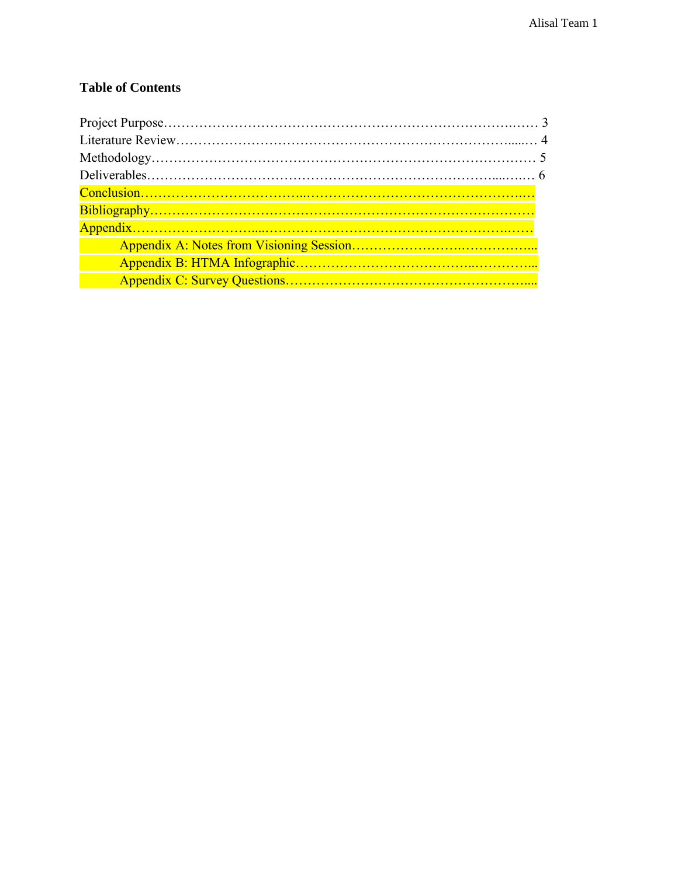# **Table of Contents**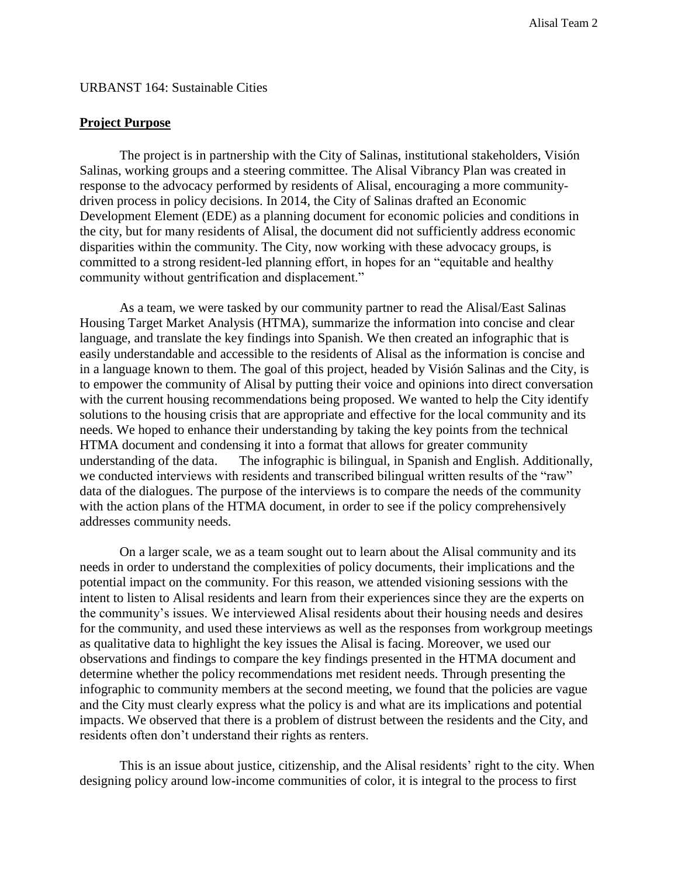#### URBANST 164: Sustainable Cities

#### **Project Purpose**

The project is in partnership with the City of Salinas, institutional stakeholders, Visión Salinas, working groups and a steering committee. The Alisal Vibrancy Plan was created in response to the advocacy performed by residents of Alisal, encouraging a more communitydriven process in policy decisions. In 2014, the City of Salinas drafted an Economic Development Element (EDE) as a planning document for economic policies and conditions in the city, but for many residents of Alisal, the document did not sufficiently address economic disparities within the community. The City, now working with these advocacy groups, is committed to a strong resident-led planning effort, in hopes for an "equitable and healthy community without gentrification and displacement."

As a team, we were tasked by our community partner to read the Alisal/East Salinas Housing Target Market Analysis (HTMA), summarize the information into concise and clear language, and translate the key findings into Spanish. We then created an infographic that is easily understandable and accessible to the residents of Alisal as the information is concise and in a language known to them. The goal of this project, headed by Visión Salinas and the City, is to empower the community of Alisal by putting their voice and opinions into direct conversation with the current housing recommendations being proposed. We wanted to help the City identify solutions to the housing crisis that are appropriate and effective for the local community and its needs. We hoped to enhance their understanding by taking the key points from the technical HTMA document and condensing it into a format that allows for greater community understanding of the data. The infographic is bilingual, in Spanish and English. Additionally, we conducted interviews with residents and transcribed bilingual written results of the "raw" data of the dialogues. The purpose of the interviews is to compare the needs of the community with the action plans of the HTMA document, in order to see if the policy comprehensively addresses community needs.

On a larger scale, we as a team sought out to learn about the Alisal community and its needs in order to understand the complexities of policy documents, their implications and the potential impact on the community. For this reason, we attended visioning sessions with the intent to listen to Alisal residents and learn from their experiences since they are the experts on the community's issues. We interviewed Alisal residents about their housing needs and desires for the community, and used these interviews as well as the responses from workgroup meetings as qualitative data to highlight the key issues the Alisal is facing. Moreover, we used our observations and findings to compare the key findings presented in the HTMA document and determine whether the policy recommendations met resident needs. Through presenting the infographic to community members at the second meeting, we found that the policies are vague and the City must clearly express what the policy is and what are its implications and potential impacts. We observed that there is a problem of distrust between the residents and the City, and residents often don't understand their rights as renters.

This is an issue about justice, citizenship, and the Alisal residents' right to the city. When designing policy around low-income communities of color, it is integral to the process to first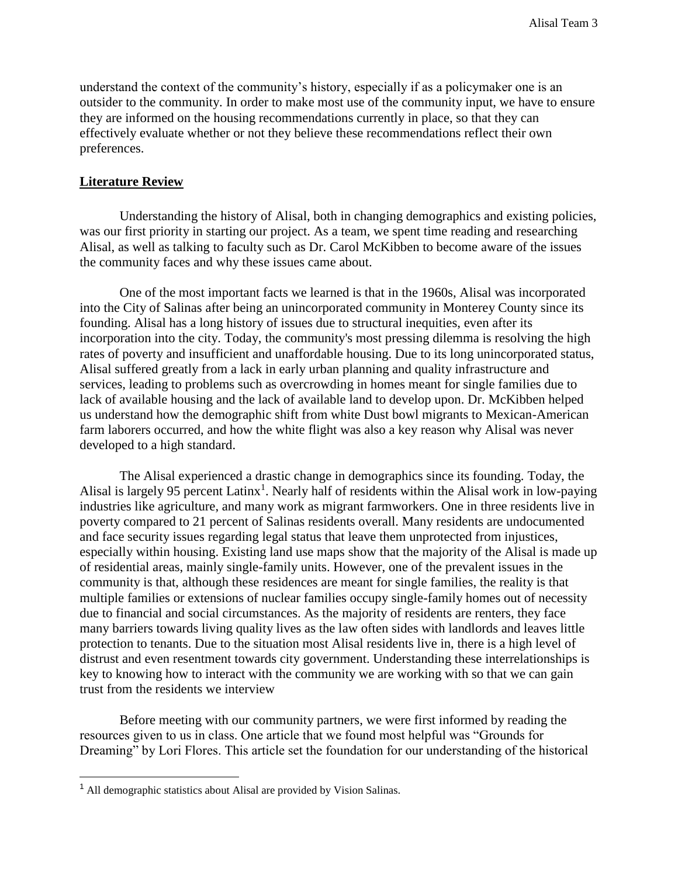understand the context of the community's history, especially if as a policymaker one is an outsider to the community. In order to make most use of the community input, we have to ensure they are informed on the housing recommendations currently in place, so that they can effectively evaluate whether or not they believe these recommendations reflect their own preferences.

#### **Literature Review**

Understanding the history of Alisal, both in changing demographics and existing policies, was our first priority in starting our project. As a team, we spent time reading and researching Alisal, as well as talking to faculty such as Dr. Carol McKibben to become aware of the issues the community faces and why these issues came about.

One of the most important facts we learned is that in the 1960s, Alisal was incorporated into the City of Salinas after being an unincorporated community in Monterey County since its founding. Alisal has a long history of issues due to structural inequities, even after its incorporation into the city. Today, the community's most pressing dilemma is resolving the high rates of poverty and insufficient and unaffordable housing. Due to its long unincorporated status, Alisal suffered greatly from a lack in early urban planning and quality infrastructure and services, leading to problems such as overcrowding in homes meant for single families due to lack of available housing and the lack of available land to develop upon. Dr. McKibben helped us understand how the demographic shift from white Dust bowl migrants to Mexican-American farm laborers occurred, and how the white flight was also a key reason why Alisal was never developed to a high standard.

The Alisal experienced a drastic change in demographics since its founding. Today, the Alisal is largely 95 percent Latinx<sup>1</sup>. Nearly half of residents within the Alisal work in low-paying industries like agriculture, and many work as migrant farmworkers. One in three residents live in poverty compared to 21 percent of Salinas residents overall. Many residents are undocumented and face security issues regarding legal status that leave them unprotected from injustices, especially within housing. Existing land use maps show that the majority of the Alisal is made up of residential areas, mainly single-family units. However, one of the prevalent issues in the community is that, although these residences are meant for single families, the reality is that multiple families or extensions of nuclear families occupy single-family homes out of necessity due to financial and social circumstances. As the majority of residents are renters, they face many barriers towards living quality lives as the law often sides with landlords and leaves little protection to tenants. Due to the situation most Alisal residents live in, there is a high level of distrust and even resentment towards city government. Understanding these interrelationships is key to knowing how to interact with the community we are working with so that we can gain trust from the residents we interview

Before meeting with our community partners, we were first informed by reading the resources given to us in class. One article that we found most helpful was "Grounds for Dreaming" by Lori Flores. This article set the foundation for our understanding of the historical

<sup>1</sup> All demographic statistics about Alisal are provided by Vision Salinas.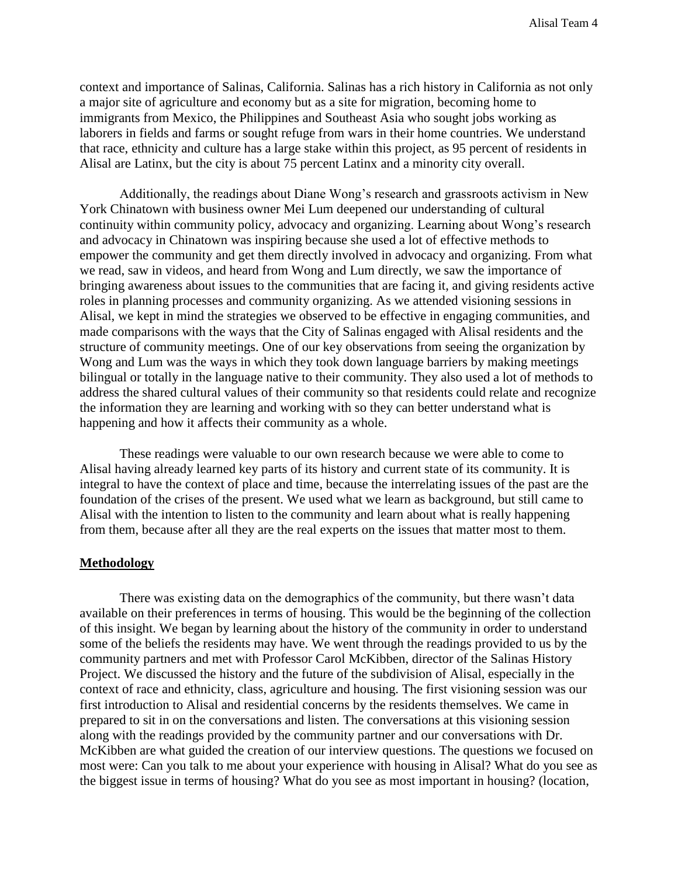context and importance of Salinas, California. Salinas has a rich history in California as not only a major site of agriculture and economy but as a site for migration, becoming home to immigrants from Mexico, the Philippines and Southeast Asia who sought jobs working as laborers in fields and farms or sought refuge from wars in their home countries. We understand that race, ethnicity and culture has a large stake within this project, as 95 percent of residents in Alisal are Latinx, but the city is about 75 percent Latinx and a minority city overall.

Additionally, the readings about Diane Wong's research and grassroots activism in New York Chinatown with business owner Mei Lum deepened our understanding of cultural continuity within community policy, advocacy and organizing. Learning about Wong's research and advocacy in Chinatown was inspiring because she used a lot of effective methods to empower the community and get them directly involved in advocacy and organizing. From what we read, saw in videos, and heard from Wong and Lum directly, we saw the importance of bringing awareness about issues to the communities that are facing it, and giving residents active roles in planning processes and community organizing. As we attended visioning sessions in Alisal, we kept in mind the strategies we observed to be effective in engaging communities, and made comparisons with the ways that the City of Salinas engaged with Alisal residents and the structure of community meetings. One of our key observations from seeing the organization by Wong and Lum was the ways in which they took down language barriers by making meetings bilingual or totally in the language native to their community. They also used a lot of methods to address the shared cultural values of their community so that residents could relate and recognize the information they are learning and working with so they can better understand what is happening and how it affects their community as a whole.

These readings were valuable to our own research because we were able to come to Alisal having already learned key parts of its history and current state of its community. It is integral to have the context of place and time, because the interrelating issues of the past are the foundation of the crises of the present. We used what we learn as background, but still came to Alisal with the intention to listen to the community and learn about what is really happening from them, because after all they are the real experts on the issues that matter most to them.

#### **Methodology**

There was existing data on the demographics of the community, but there wasn't data available on their preferences in terms of housing. This would be the beginning of the collection of this insight. We began by learning about the history of the community in order to understand some of the beliefs the residents may have. We went through the readings provided to us by the community partners and met with Professor Carol McKibben, director of the Salinas History Project. We discussed the history and the future of the subdivision of Alisal, especially in the context of race and ethnicity, class, agriculture and housing. The first visioning session was our first introduction to Alisal and residential concerns by the residents themselves. We came in prepared to sit in on the conversations and listen. The conversations at this visioning session along with the readings provided by the community partner and our conversations with Dr. McKibben are what guided the creation of our interview questions. The questions we focused on most were: Can you talk to me about your experience with housing in Alisal? What do you see as the biggest issue in terms of housing? What do you see as most important in housing? (location,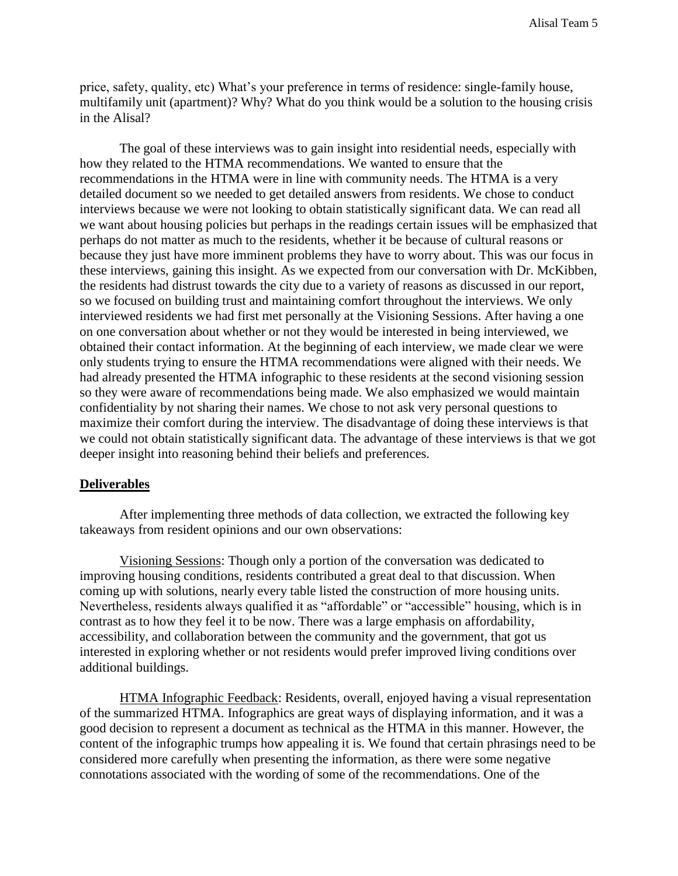price, safety, quality, etc) What's your preference in terms of residence: single-family house, multifamily unit (apartment)? Why? What do you think would be a solution to the housing crisis in the Alisal?

The goal of these interviews was to gain insight into residential needs, especially with how they related to the HTMA recommendations. We wanted to ensure that the recommendations in the HTMA were in line with community needs. The HTMA is a very detailed document so we needed to get detailed answers from residents. We chose to conduct interviews because we were not looking to obtain statistically significant data. We can read all we want about housing policies but perhaps in the readings certain issues will be emphasized that perhaps do not matter as much to the residents, whether it be because of cultural reasons or because they just have more imminent problems they have to worry about. This was our focus in these interviews, gaining this insight. As we expected from our conversation with Dr. McKibben, the residents had distrust towards the city due to a variety of reasons as discussed in our report, so we focused on building trust and maintaining comfort throughout the interviews. We only interviewed residents we had first met personally at the Visioning Sessions. After having a one on one conversation about whether or not they would be interested in being interviewed, we obtained their contact information. At the beginning of each interview, we made clear we were only students trying to ensure the HTMA recommendations were aligned with their needs. We had already presented the HTMA infographic to these residents at the second visioning session so they were aware of recommendations being made. We also emphasized we would maintain confidentiality by not sharing their names. We chose to not ask very personal questions to maximize their comfort during the interview. The disadvantage of doing these interviews is that we could not obtain statistically significant data. The advantage of these interviews is that we got deeper insight into reasoning behind their beliefs and preferences.

#### **Deliverables**

After implementing three methods of data collection, we extracted the following key takeaways from resident opinions and our own observations:

Visioning Sessions: Though only a portion of the conversation was dedicated to improving housing conditions, residents contributed a great deal to that discussion. When coming up with solutions, nearly every table listed the construction of more housing units. Nevertheless, residents always qualified it as "affordable" or "accessible" housing, which is in contrast as to how they feel it to be now. There was a large emphasis on affordability, accessibility, and collaboration between the community and the government, that got us interested in exploring whether or not residents would prefer improved living conditions over additional buildings.

HTMA Infographic Feedback: Residents, overall, enjoyed having a visual representation of the summarized HTMA. Infographics are great ways of displaying information, and it was a good decision to represent a document as technical as the HTMA in this manner. However, the content of the infographic trumps how appealing it is. We found that certain phrasings need to be considered more carefully when presenting the information, as there were some negative connotations associated with the wording of some of the recommendations. One of the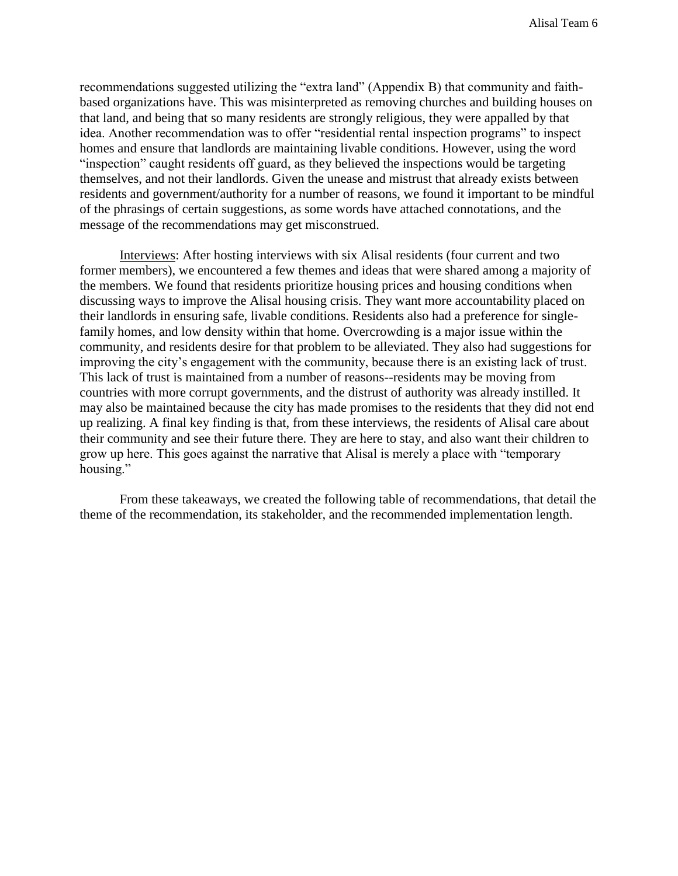recommendations suggested utilizing the "extra land" (Appendix B) that community and faithbased organizations have. This was misinterpreted as removing churches and building houses on that land, and being that so many residents are strongly religious, they were appalled by that idea. Another recommendation was to offer "residential rental inspection programs" to inspect homes and ensure that landlords are maintaining livable conditions. However, using the word "inspection" caught residents off guard, as they believed the inspections would be targeting themselves, and not their landlords. Given the unease and mistrust that already exists between residents and government/authority for a number of reasons, we found it important to be mindful of the phrasings of certain suggestions, as some words have attached connotations, and the message of the recommendations may get misconstrued.

Interviews: After hosting interviews with six Alisal residents (four current and two former members), we encountered a few themes and ideas that were shared among a majority of the members. We found that residents prioritize housing prices and housing conditions when discussing ways to improve the Alisal housing crisis. They want more accountability placed on their landlords in ensuring safe, livable conditions. Residents also had a preference for singlefamily homes, and low density within that home. Overcrowding is a major issue within the community, and residents desire for that problem to be alleviated. They also had suggestions for improving the city's engagement with the community, because there is an existing lack of trust. This lack of trust is maintained from a number of reasons--residents may be moving from countries with more corrupt governments, and the distrust of authority was already instilled. It may also be maintained because the city has made promises to the residents that they did not end up realizing. A final key finding is that, from these interviews, the residents of Alisal care about their community and see their future there. They are here to stay, and also want their children to grow up here. This goes against the narrative that Alisal is merely a place with "temporary housing."

From these takeaways, we created the following table of recommendations, that detail the theme of the recommendation, its stakeholder, and the recommended implementation length.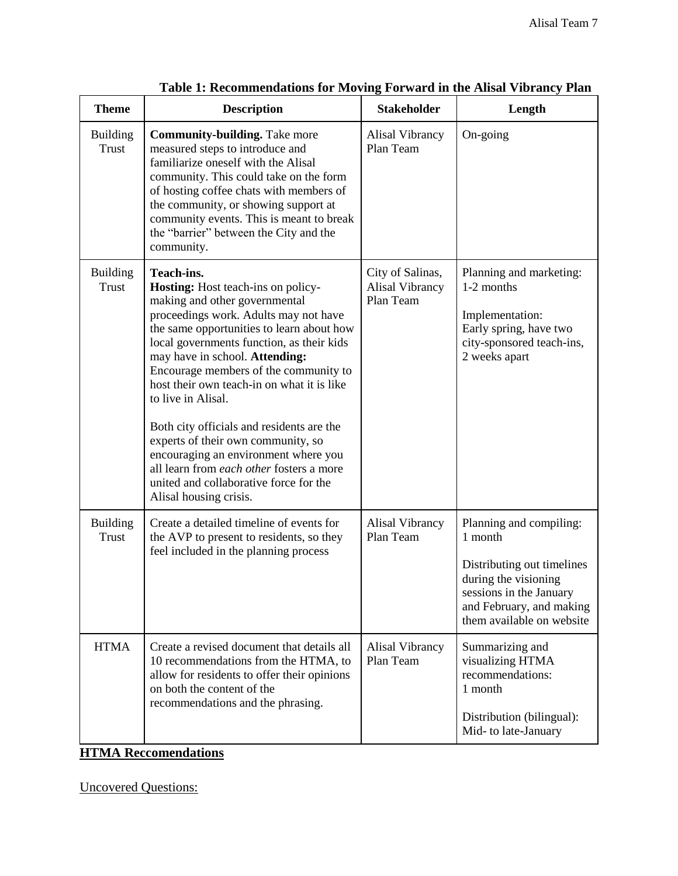| <b>Theme</b>                    | <b>Description</b>                                                                                                                                                                                                                                                                                                                                                                                                                                                                                                                                                                                             | <b>Stakeholder</b>                               | Length                                                                                                                                                                       |
|---------------------------------|----------------------------------------------------------------------------------------------------------------------------------------------------------------------------------------------------------------------------------------------------------------------------------------------------------------------------------------------------------------------------------------------------------------------------------------------------------------------------------------------------------------------------------------------------------------------------------------------------------------|--------------------------------------------------|------------------------------------------------------------------------------------------------------------------------------------------------------------------------------|
| <b>Building</b><br><b>Trust</b> | <b>Community-building.</b> Take more<br>measured steps to introduce and<br>familiarize oneself with the Alisal<br>community. This could take on the form<br>of hosting coffee chats with members of<br>the community, or showing support at<br>community events. This is meant to break<br>the "barrier" between the City and the<br>community.                                                                                                                                                                                                                                                                | Alisal Vibrancy<br>Plan Team                     | On-going                                                                                                                                                                     |
| <b>Building</b><br><b>Trust</b> | Teach-ins.<br>Hosting: Host teach-ins on policy-<br>making and other governmental<br>proceedings work. Adults may not have<br>the same opportunities to learn about how<br>local governments function, as their kids<br>may have in school. Attending:<br>Encourage members of the community to<br>host their own teach-in on what it is like<br>to live in Alisal.<br>Both city officials and residents are the<br>experts of their own community, so<br>encouraging an environment where you<br>all learn from each other fosters a more<br>united and collaborative force for the<br>Alisal housing crisis. | City of Salinas,<br>Alisal Vibrancy<br>Plan Team | Planning and marketing:<br>1-2 months<br>Implementation:<br>Early spring, have two<br>city-sponsored teach-ins,<br>2 weeks apart                                             |
| <b>Building</b><br><b>Trust</b> | Create a detailed timeline of events for<br>the AVP to present to residents, so they<br>feel included in the planning process                                                                                                                                                                                                                                                                                                                                                                                                                                                                                  | <b>Alisal Vibrancy</b><br>Plan Team              | Planning and compiling:<br>1 month<br>Distributing out timelines<br>during the visioning<br>sessions in the January<br>and February, and making<br>them available on website |
| <b>HTMA</b>                     | Create a revised document that details all<br>10 recommendations from the HTMA, to<br>allow for residents to offer their opinions<br>on both the content of the<br>recommendations and the phrasing.<br><b>HTMA Reccomendations</b>                                                                                                                                                                                                                                                                                                                                                                            | Alisal Vibrancy<br>Plan Team                     | Summarizing and<br>visualizing HTMA<br>recommendations:<br>1 month<br>Distribution (bilingual):<br>Mid- to late-January                                                      |

| Table 1: Recommendations for Moving Forward in the Alisal Vibrancy Plan |  |  |  |
|-------------------------------------------------------------------------|--|--|--|
|                                                                         |  |  |  |

Uncovered Questions: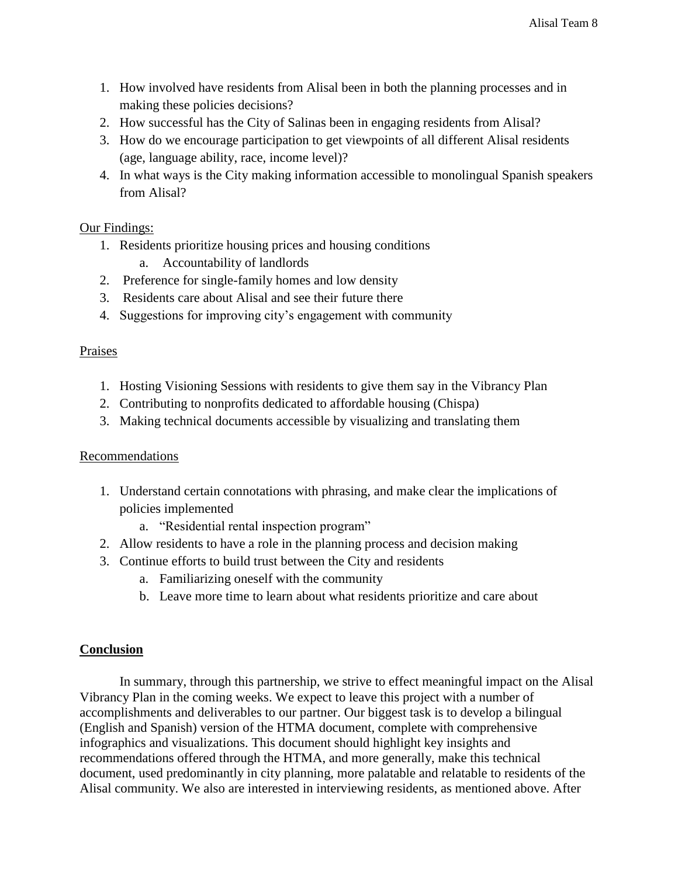- 1. How involved have residents from Alisal been in both the planning processes and in making these policies decisions?
- 2. How successful has the City of Salinas been in engaging residents from Alisal?
- 3. How do we encourage participation to get viewpoints of all different Alisal residents (age, language ability, race, income level)?
- 4. In what ways is the City making information accessible to monolingual Spanish speakers from Alisal?

# Our Findings:

- 1. Residents prioritize housing prices and housing conditions
	- a. Accountability of landlords
- 2. Preference for single-family homes and low density
- 3. Residents care about Alisal and see their future there
- 4. Suggestions for improving city's engagement with community

### **Praises**

- 1. Hosting Visioning Sessions with residents to give them say in the Vibrancy Plan
- 2. Contributing to nonprofits dedicated to affordable housing (Chispa)
- 3. Making technical documents accessible by visualizing and translating them

### **Recommendations**

- 1. Understand certain connotations with phrasing, and make clear the implications of policies implemented
	- a. "Residential rental inspection program"
- 2. Allow residents to have a role in the planning process and decision making
- 3. Continue efforts to build trust between the City and residents
	- a. Familiarizing oneself with the community
	- b. Leave more time to learn about what residents prioritize and care about

### **Conclusion**

In summary, through this partnership, we strive to effect meaningful impact on the Alisal Vibrancy Plan in the coming weeks. We expect to leave this project with a number of accomplishments and deliverables to our partner. Our biggest task is to develop a bilingual (English and Spanish) version of the HTMA document, complete with comprehensive infographics and visualizations. This document should highlight key insights and recommendations offered through the HTMA, and more generally, make this technical document, used predominantly in city planning, more palatable and relatable to residents of the Alisal community. We also are interested in interviewing residents, as mentioned above. After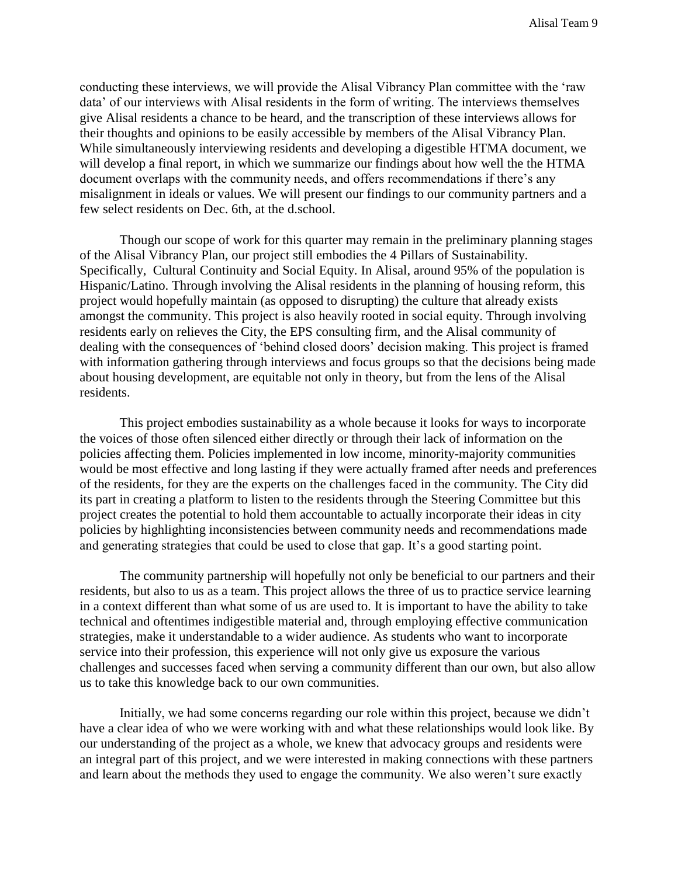conducting these interviews, we will provide the Alisal Vibrancy Plan committee with the 'raw data' of our interviews with Alisal residents in the form of writing. The interviews themselves give Alisal residents a chance to be heard, and the transcription of these interviews allows for their thoughts and opinions to be easily accessible by members of the Alisal Vibrancy Plan. While simultaneously interviewing residents and developing a digestible HTMA document, we will develop a final report, in which we summarize our findings about how well the the HTMA document overlaps with the community needs, and offers recommendations if there's any misalignment in ideals or values. We will present our findings to our community partners and a few select residents on Dec. 6th, at the d.school.

Though our scope of work for this quarter may remain in the preliminary planning stages of the Alisal Vibrancy Plan, our project still embodies the 4 Pillars of Sustainability. Specifically, Cultural Continuity and Social Equity. In Alisal, around 95% of the population is Hispanic/Latino. Through involving the Alisal residents in the planning of housing reform, this project would hopefully maintain (as opposed to disrupting) the culture that already exists amongst the community. This project is also heavily rooted in social equity. Through involving residents early on relieves the City, the EPS consulting firm, and the Alisal community of dealing with the consequences of 'behind closed doors' decision making. This project is framed with information gathering through interviews and focus groups so that the decisions being made about housing development, are equitable not only in theory, but from the lens of the Alisal residents.

This project embodies sustainability as a whole because it looks for ways to incorporate the voices of those often silenced either directly or through their lack of information on the policies affecting them. Policies implemented in low income, minority-majority communities would be most effective and long lasting if they were actually framed after needs and preferences of the residents, for they are the experts on the challenges faced in the community. The City did its part in creating a platform to listen to the residents through the Steering Committee but this project creates the potential to hold them accountable to actually incorporate their ideas in city policies by highlighting inconsistencies between community needs and recommendations made and generating strategies that could be used to close that gap. It's a good starting point.

The community partnership will hopefully not only be beneficial to our partners and their residents, but also to us as a team. This project allows the three of us to practice service learning in a context different than what some of us are used to. It is important to have the ability to take technical and oftentimes indigestible material and, through employing effective communication strategies, make it understandable to a wider audience. As students who want to incorporate service into their profession, this experience will not only give us exposure the various challenges and successes faced when serving a community different than our own, but also allow us to take this knowledge back to our own communities.

Initially, we had some concerns regarding our role within this project, because we didn't have a clear idea of who we were working with and what these relationships would look like. By our understanding of the project as a whole, we knew that advocacy groups and residents were an integral part of this project, and we were interested in making connections with these partners and learn about the methods they used to engage the community. We also weren't sure exactly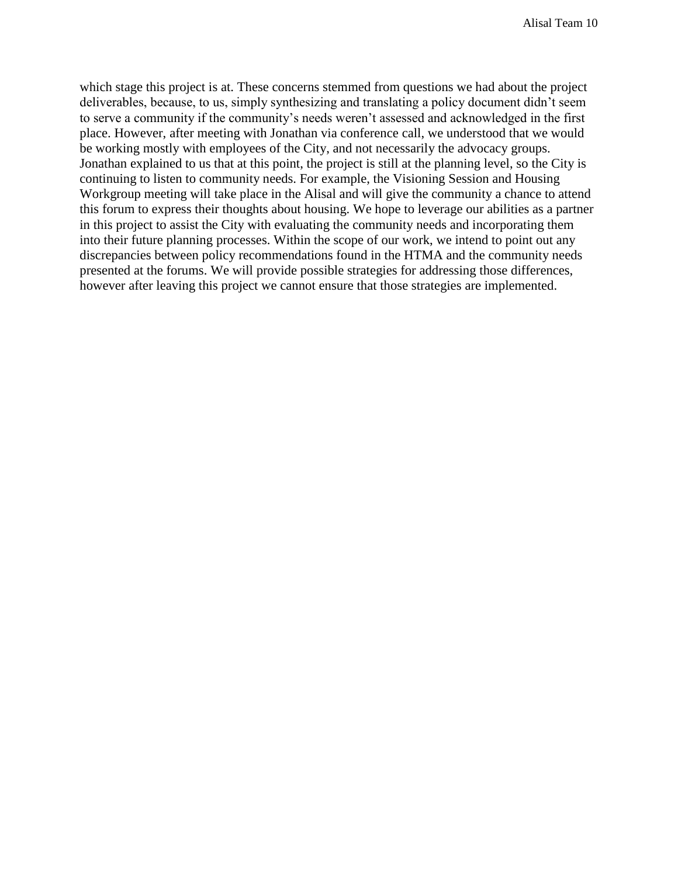which stage this project is at. These concerns stemmed from questions we had about the project deliverables, because, to us, simply synthesizing and translating a policy document didn't seem to serve a community if the community's needs weren't assessed and acknowledged in the first place. However, after meeting with Jonathan via conference call, we understood that we would be working mostly with employees of the City, and not necessarily the advocacy groups. Jonathan explained to us that at this point, the project is still at the planning level, so the City is continuing to listen to community needs. For example, the Visioning Session and Housing Workgroup meeting will take place in the Alisal and will give the community a chance to attend this forum to express their thoughts about housing. We hope to leverage our abilities as a partner in this project to assist the City with evaluating the community needs and incorporating them into their future planning processes. Within the scope of our work, we intend to point out any discrepancies between policy recommendations found in the HTMA and the community needs presented at the forums. We will provide possible strategies for addressing those differences, however after leaving this project we cannot ensure that those strategies are implemented.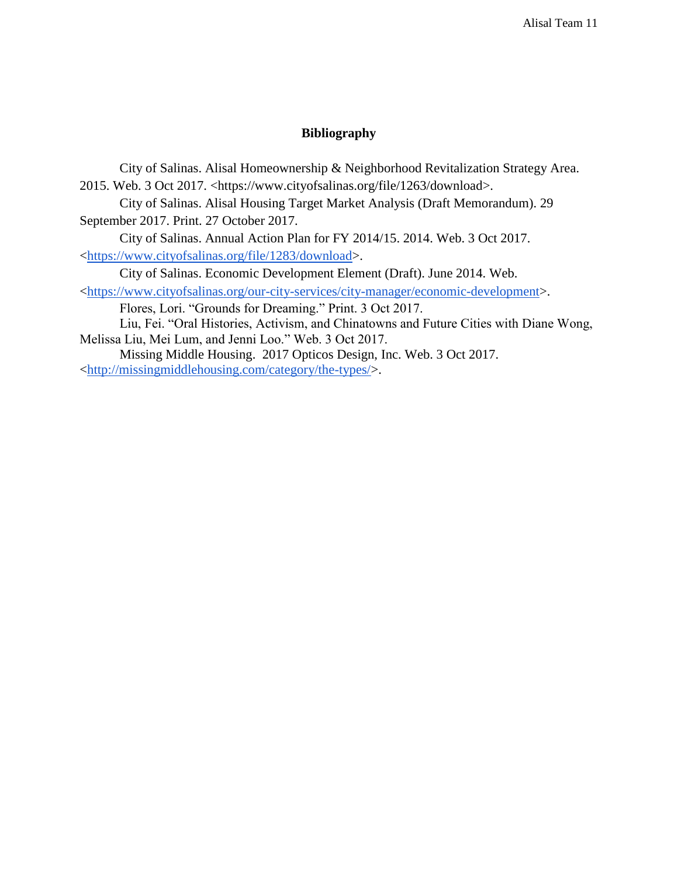#### **Bibliography**

City of Salinas. Alisal Homeownership & Neighborhood Revitalization Strategy Area. 2015. Web. 3 Oct 2017. <https://www.cityofsalinas.org/file/1263/download>. City of Salinas. Alisal Housing Target Market Analysis (Draft Memorandum). 29 September 2017. Print. 27 October 2017. City of Salinas. Annual Action Plan for FY 2014/15. 2014. Web. 3 Oct 2017. [<https://www.cityofsalinas.org/file/1283/download>](https://www.cityofsalinas.org/file/1283/download). City of Salinas. Economic Development Element (Draft). June 2014. Web. [<https://www.cityofsalinas.org/our-city-services/city-manager/economic-development>](https://www.cityofsalinas.org/our-city-services/city-manager/economic-development). Flores, Lori. "Grounds for Dreaming." Print. 3 Oct 2017. Liu, Fei. "Oral Histories, Activism, and Chinatowns and Future Cities with Diane Wong, Melissa Liu, Mei Lum, and Jenni Loo." Web. 3 Oct 2017.

Missing Middle Housing. 2017 Opticos Design, Inc. Web. 3 Oct 2017. [<http://missingmiddlehousing.com/category/the-types/>](http://missingmiddlehousing.com/category/the-types/).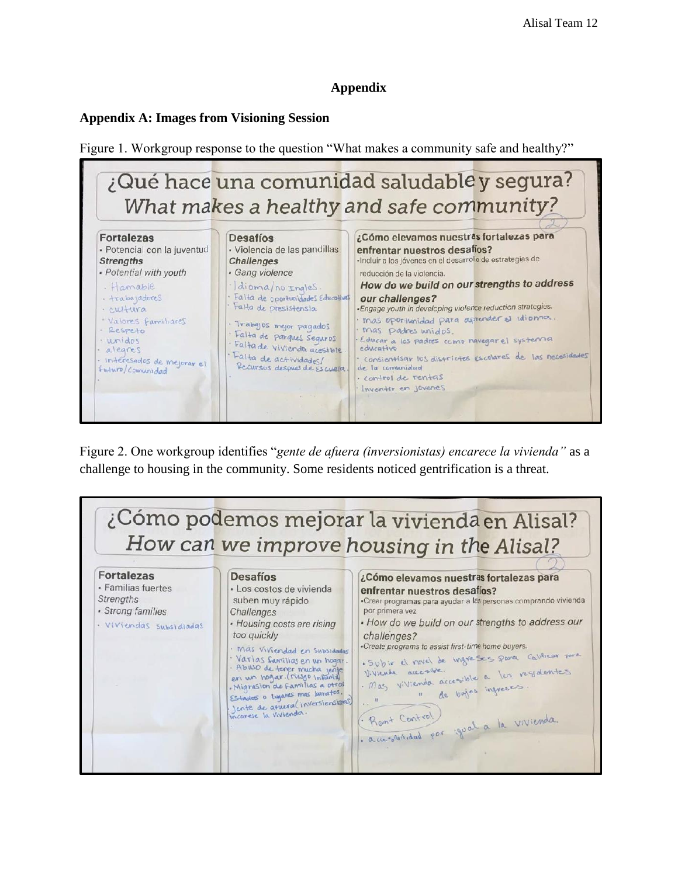# **Appendix**

## **Appendix A: Images from Visioning Session**

Figure 1. Workgroup response to the question "What makes a community safe and healthy?"



Figure 2. One workgroup identifies "*gente de afuera (inversionistas) encarece la vivienda"* as a challenge to housing in the community. Some residents noticed gentrification is a threat.

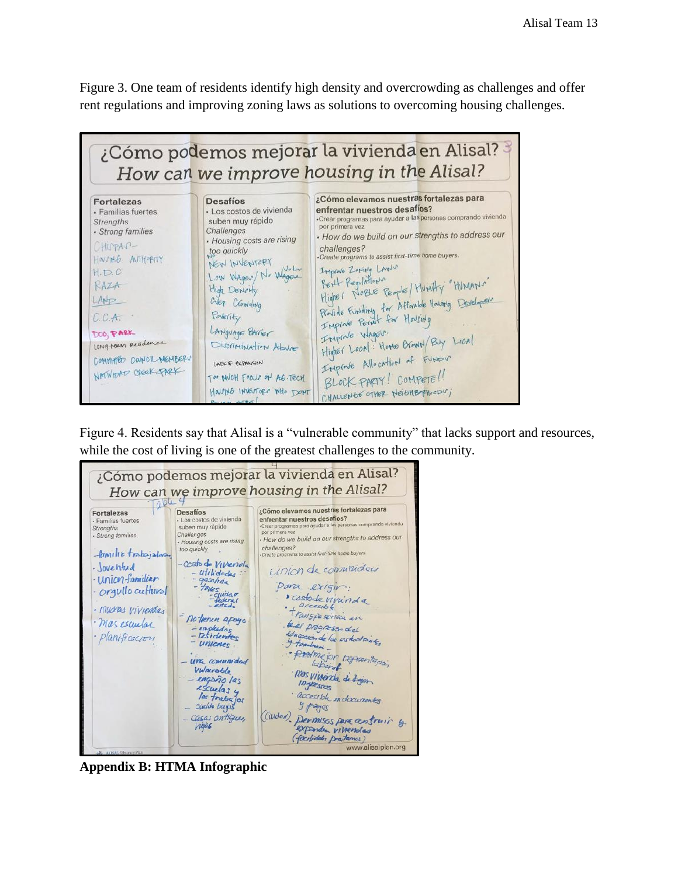Figure 3. One team of residents identify high density and overcrowding as challenges and offer rent regulations and improving zoning laws as solutions to overcoming housing challenges.



Figure 4. Residents say that Alisal is a "vulnerable community" that lacks support and resources, while the cost of living is one of the greatest challenges to the community.



**Appendix B: HTMA Infographic**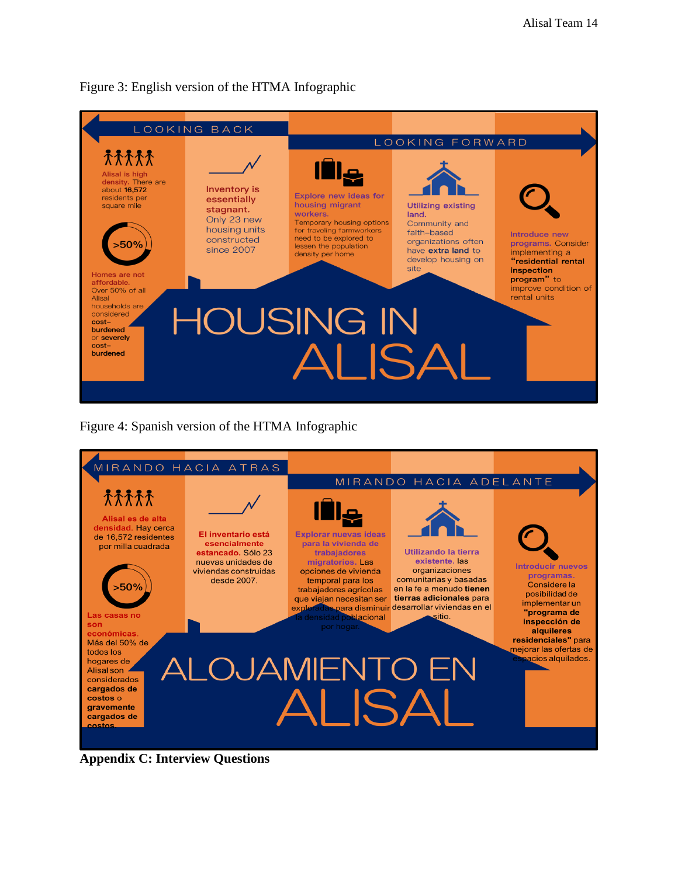

Figure 3: English version of the HTMA Infographic

Figure 4: Spanish version of the HTMA Infographic



**Appendix C: Interview Questions**